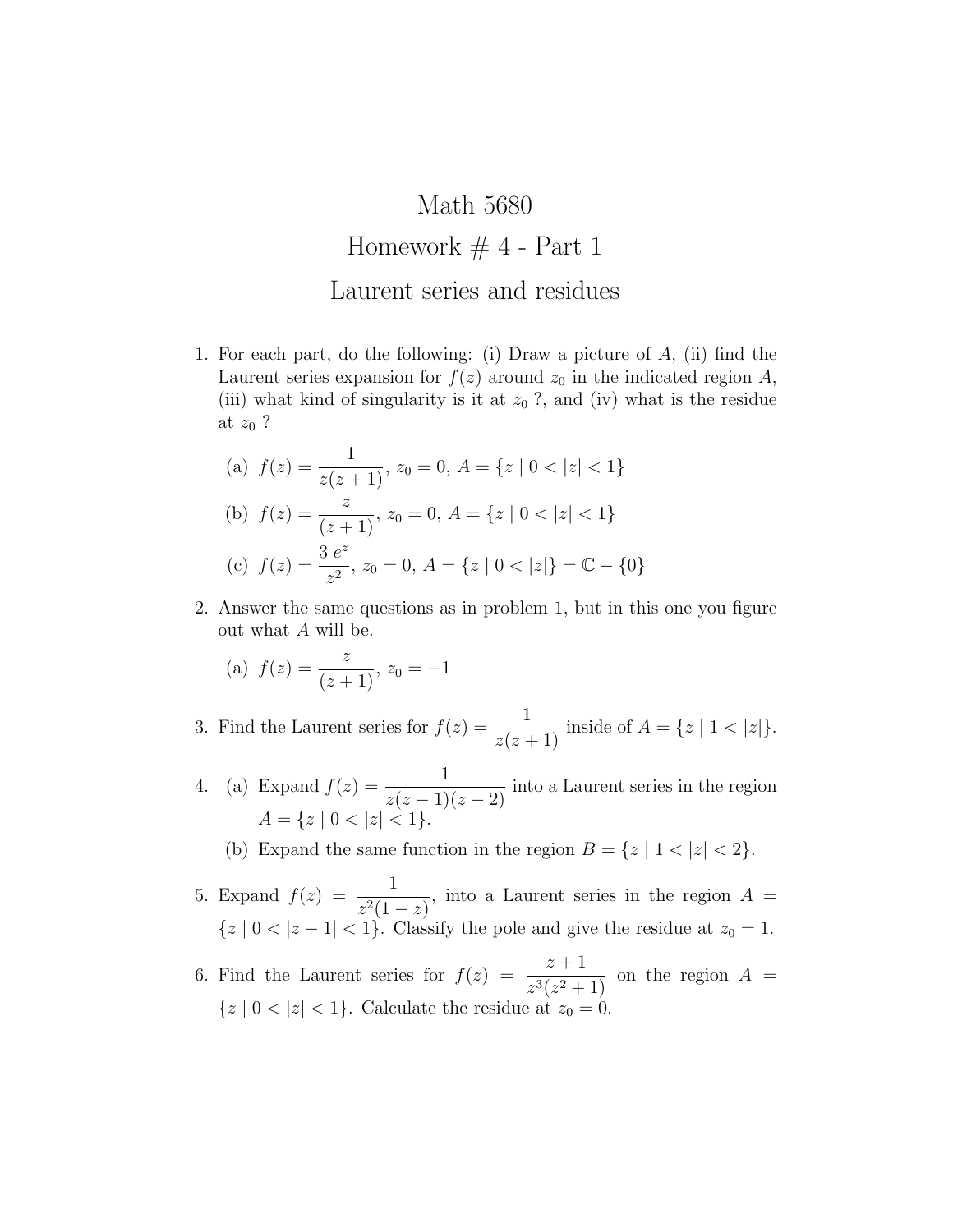## Math 5680 Homework  $# 4$  - Part 1 Laurent series and residues

1. For each part, do the following: (i) Draw a picture of A, (ii) find the Laurent series expansion for  $f(z)$  around  $z_0$  in the indicated region A, (iii) what kind of singularity is it at  $z_0$  ?, and (iv) what is the residue at  $z_0$  ?

(a) 
$$
f(z) = \frac{1}{z(z+1)}, z_0 = 0, A = \{z \mid 0 < |z| < 1\}
$$
  
\n(b)  $f(z) = \frac{z}{(z+1)}, z_0 = 0, A = \{z \mid 0 < |z| < 1\}$   
\n(c)  $f(z) = \frac{3 e^z}{z^2}, z_0 = 0, A = \{z \mid 0 < |z|\} = \mathbb{C} - \{0\}$ 

2. Answer the same questions as in problem 1, but in this one you figure out what A will be.

(a) 
$$
f(z) = \frac{z}{(z+1)}, z_0 = -1
$$

3. Find the Laurent series for  $f(z) = \frac{1}{z(z+1)}$  inside of  $A = \{z \mid 1 < |z|\}.$ 

4. (a) Expand  $f(z) = \frac{1}{(z-1)^2}$  $\frac{1}{z(z-1)(z-2)}$  into a Laurent series in the region  $A = \{z \mid 0 < |z| < 1\}.$ 

(b) Expand the same function in the region  $B = \{z \mid 1 < |z| < 2\}.$ 

- 5. Expand  $f(z) = \frac{1}{z^{(1)}}$  $z^2(1-z)$ , into a Laurent series in the region  $A =$  ${z \mid 0 < |z - 1| < 1}$ . Classify the pole and give the residue at  $z_0 = 1$ .
- 6. Find the Laurent series for  $f(z) = \frac{z+1}{z^2-2z+1}$  $\frac{z+1}{z^3(z^2+1)}$  on the region  $A =$  ${z \mid 0 < |z| < 1}.$  Calculate the residue at  $z_0 = 0.$